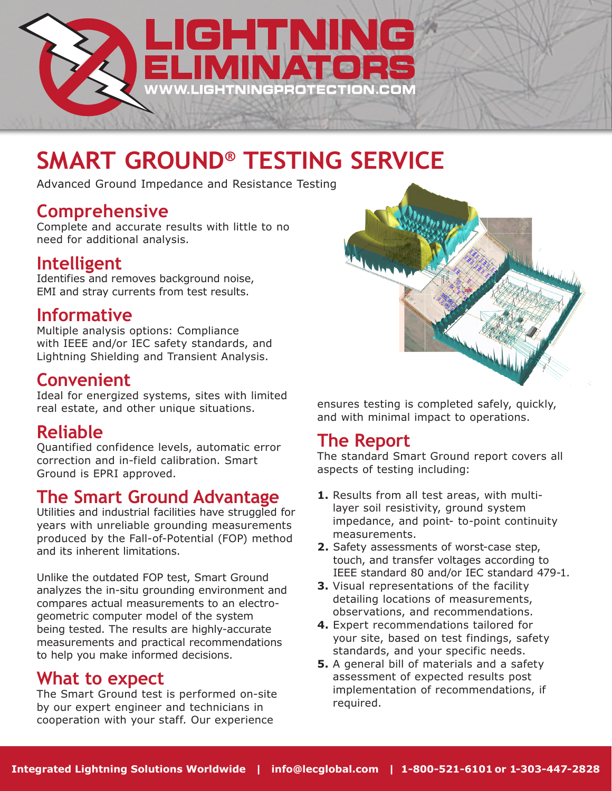

# **SMART GROUND® TESTING SERVICE**

Advanced Ground Impedance and Resistance Testing

### **Comprehensive**

Complete and accurate results with little to no need for additional analysis.

### **Intelligent**

Identifies and removes background noise, EMI and stray currents from test results.

## **Informative**

Multiple analysis options: Compliance with IEEE and/or IEC safety standards, and Lightning Shielding and Transient Analysis.

### **Convenient**

Ideal for energized systems, sites with limited real estate, and other unique situations.

### **Reliable**

Quantified confidence levels, automatic error correction and in-field calibration. Smart Ground is EPRI approved.

### **The Smart Ground Advantage**

Utilities and industrial facilities have struggled for years with unreliable grounding measurements produced by the Fall-of-Potential (FOP) method and its inherent limitations.

Unlike the outdated FOP test, Smart Ground analyzes the in-situ grounding environment and compares actual measurements to an electrogeometric computer model of the system being tested. The results are highly-accurate measurements and practical recommendations to help you make informed decisions.

### **What to expect**

The Smart Ground test is performed on-site by our expert engineer and technicians in cooperation with your staff. Our experience



ensures testing is completed safely, quickly, and with minimal impact to operations.

### **The Report**

The standard Smart Ground report covers all aspects of testing including:

- **1.** Results from all test areas, with multilayer soil resistivity, ground system impedance, and point- to-point continuity measurements.
- **2.** Safety assessments of worst-case step, touch, and transfer voltages according to IEEE standard 80 and/or IEC standard 479-1.
- **3.** Visual representations of the facility detailing locations of measurements, observations, and recommendations.
- **4.** Expert recommendations tailored for your site, based on test findings, safety standards, and your specific needs.
- **5.** A general bill of materials and a safety assessment of expected results post implementation of recommendations, if required.